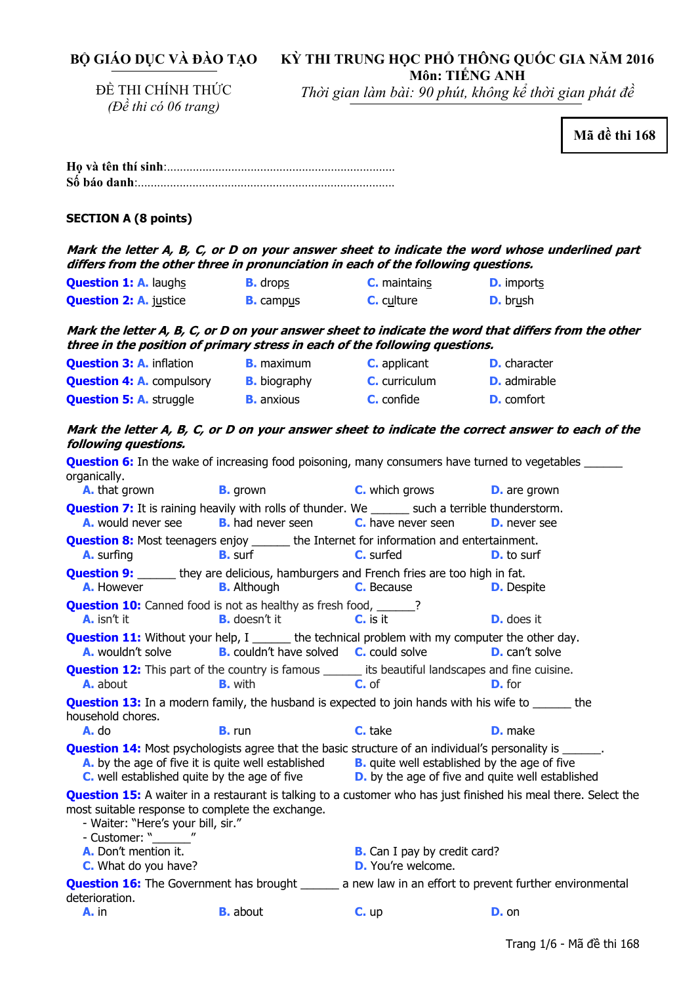**BỘ GIÁO DỤC VÀ ĐÀO TẠO** 

# **KỲ THI TRUNG HỌC PHỔ THÔNG QUỐC GIA NĂM 2016 Môn: TIẾNG ANH**

ĐỀ THI CHÍNH THỨC *(Đề thi có 06 trang)* 

*Thời gian làm bài: 90 phút, không kể thời gian phát đề*

**Mã đề thi 168** 

| <b>SECTION A (8 points)</b>                                                                                                                                                                                                       |                          |                                                                                                         |                     |
|-----------------------------------------------------------------------------------------------------------------------------------------------------------------------------------------------------------------------------------|--------------------------|---------------------------------------------------------------------------------------------------------|---------------------|
| Mark the letter A, B, C, or D on your answer sheet to indicate the word whose underlined part<br>differs from the other three in pronunciation in each of the following questions.                                                |                          |                                                                                                         |                     |
| <b>Question 1: A. laughs</b>                                                                                                                                                                                                      | <b>B.</b> drops          | <b>C.</b> maintains                                                                                     | <b>D.</b> imports   |
| <b>Question 2: A. justice</b>                                                                                                                                                                                                     | <b>B.</b> campus         | $C.$ culture                                                                                            | <b>D.</b> brush     |
| Mark the letter A, B, C, or D on your answer sheet to indicate the word that differs from the other<br>three in the position of primary stress in each of the following questions.                                                |                          |                                                                                                         |                     |
| <b>Question 3: A. inflation</b>                                                                                                                                                                                                   | <b>B.</b> maximum        | <b>C.</b> applicant                                                                                     | <b>D.</b> character |
| <b>Question 4: A.</b> compulsory <b>B.</b> biography                                                                                                                                                                              |                          | <b>C.</b> curriculum                                                                                    | <b>D.</b> admirable |
| <b>Question 5: A. struggle</b>                                                                                                                                                                                                    | <b>B.</b> anxious        | <b>C.</b> confide                                                                                       | <b>D.</b> comfort   |
| Mark the letter A, B, C, or D on your answer sheet to indicate the correct answer to each of the<br>following questions.                                                                                                          |                          |                                                                                                         |                     |
| <b>Question 6:</b> In the wake of increasing food poisoning, many consumers have turned to vegetables ______<br>organically.                                                                                                      |                          |                                                                                                         |                     |
| A. that grown<br><b>Question 7:</b> It is raining heavily with rolls of thunder. We _______ such a terrible thunderstorm.                                                                                                         | <b>B.</b> grown          | <b>C.</b> which grows                                                                                   | <b>D.</b> are grown |
| A. would never see                                                                                                                                                                                                                | <b>B.</b> had never seen | <b>C.</b> have never seen                                                                               | <b>D.</b> never see |
| <b>Question 8:</b> Most teenagers enjoy ______ the Internet for information and entertainment.<br><b>A.</b> surfing                                                                                                               | <b>B.</b> surf           | <b>C.</b> surfed                                                                                        | <b>D.</b> to surf   |
| <b>Question 9:</b> ______ they are delicious, hamburgers and French fries are too high in fat.<br><b>A.</b> However                                                                                                               | <b>B.</b> Although       | <b>C.</b> Because                                                                                       | <b>D.</b> Despite   |
| <b>Question 10:</b> Canned food is not as healthy as fresh food, ______?<br><b>A.</b> isn't it                                                                                                                                    | <b>B.</b> doesn't it     | $Cn$ is it                                                                                              | <b>D.</b> does it   |
| <b>Question 11:</b> Without your help, I _______ the technical problem with my computer the other day.<br><b>A.</b> wouldn't solve <b>B.</b> couldn't have solved <b>C.</b> could solve <b>D.</b> can't solve                     |                          |                                                                                                         |                     |
| <b>Question 12:</b> This part of the country is famous ______ its beautiful landscapes and fine cuisine.<br><b>A.</b> about                                                                                                       | <b>B.</b> with           | C. of                                                                                                   | <b>D.</b> for       |
| <b>Question 13:</b> In a modern family, the husband is expected to join hands with his wife to ______ the<br>household chores.                                                                                                    |                          |                                                                                                         |                     |
| A. do                                                                                                                                                                                                                             | <b>B.</b> run            | C. take                                                                                                 | <b>D.</b> make      |
| <b>Question 14:</b> Most psychologists agree that the basic structure of an individual's personality is ______.<br>A. by the age of five it is quite well established<br><b>C.</b> well established quite by the age of five      |                          | <b>B.</b> quite well established by the age of five<br>D. by the age of five and quite well established |                     |
| <b>Question 15:</b> A waiter in a restaurant is talking to a customer who has just finished his meal there. Select the<br>most suitable response to complete the exchange.<br>- Waiter: "Here's your bill, sir."<br>- Customer: " |                          |                                                                                                         |                     |
| A. Don't mention it.<br>C. What do you have?                                                                                                                                                                                      |                          | <b>B.</b> Can I pay by credit card?<br><b>D.</b> You're welcome.                                        |                     |
| <b>Question 16:</b> The Government has brought ________ a new law in an effort to prevent further environmental<br>deterioration.                                                                                                 |                          |                                                                                                         |                     |

**A.** in **B.** about **C.** up **D.** on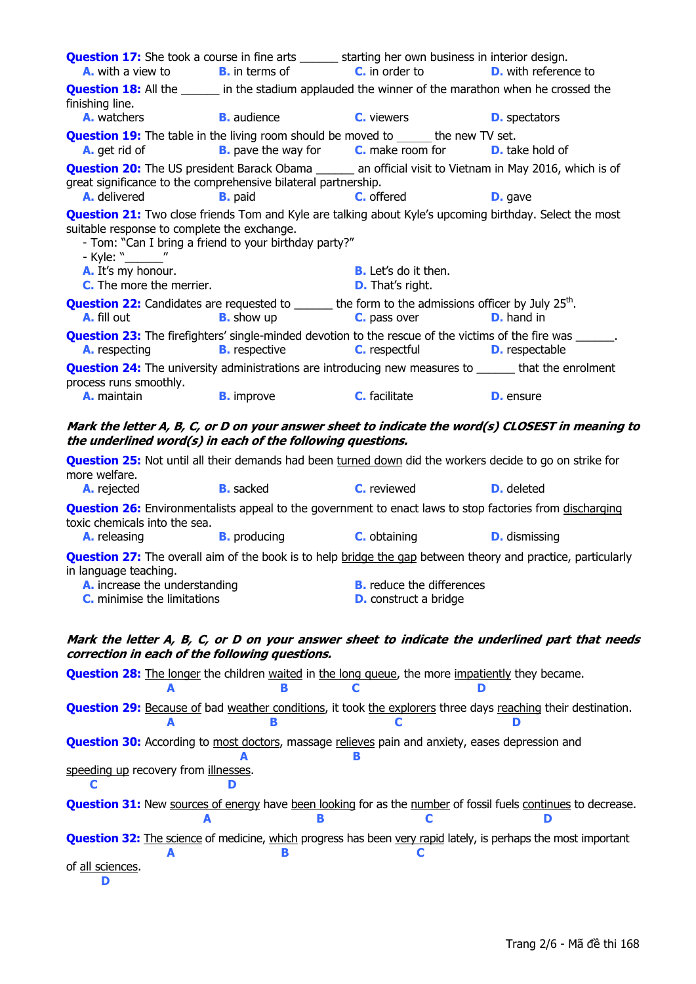| <b>Question 17:</b> She took a course in fine arts ______ starting her own business in interior design.                                                                           | <b>A.</b> with a view to <b>B.</b> in terms of <b>C.</b> in order to |                                                                         | <b>D.</b> with reference to                                                                                         |  |  |
|-----------------------------------------------------------------------------------------------------------------------------------------------------------------------------------|----------------------------------------------------------------------|-------------------------------------------------------------------------|---------------------------------------------------------------------------------------------------------------------|--|--|
| <b>Question 18:</b> All the <u>same in</u> the stadium applauded the winner of the marathon when he crossed the<br>finishing line.<br><b>A.</b> watchers                          | <b>Example 1</b> B. audience                                         | C. viewers                                                              | <b>D.</b> spectators                                                                                                |  |  |
| <b>Question 19:</b> The table in the living room should be moved to the new TV set.                                                                                               |                                                                      |                                                                         |                                                                                                                     |  |  |
|                                                                                                                                                                                   |                                                                      | <b>A.</b> get rid of <b>B.</b> pave the way for <b>C.</b> make room for | <b>D.</b> take hold of                                                                                              |  |  |
| <b>Question 20:</b> The US president Barack Obama _______ an official visit to Vietnam in May 2016, which is of<br>great significance to the comprehensive bilateral partnership. |                                                                      |                                                                         |                                                                                                                     |  |  |
| A. delivered<br><b>Question 21:</b> Two close friends Tom and Kyle are talking about Kyle's upcoming birthday. Select the most                                                    | <b>B.</b> paid                                                       | C. offered <b>C.</b> offered                                            | <b>D.</b> gave                                                                                                      |  |  |
| suitable response to complete the exchange.<br>- Kyle: "_______"                                                                                                                  | - Tom: "Can I bring a friend to your birthday party?"                |                                                                         |                                                                                                                     |  |  |
| A. It's my honour.<br><b>C.</b> The more the merrier.                                                                                                                             |                                                                      | <b>B.</b> Let's do it then.<br><b>D.</b> That's right.                  |                                                                                                                     |  |  |
| <b>Question 22:</b> Candidates are requested to $\_\_\_\_$ the form to the admissions officer by July 25 <sup>th</sup> .<br>A. fill out                                           | <b>B.</b> show up                                                    | C. pass over                                                            | <b>D.</b> hand in                                                                                                   |  |  |
| <b>Question 23:</b> The firefighters' single-minded devotion to the rescue of the victims of the fire was ______.<br><b>A.</b> respecting <b>B.</b> respective                    |                                                                      | <b>C.</b> respectful <b>D.</b> respectable                              |                                                                                                                     |  |  |
| <b>Question 24:</b> The university administrations are introducing new measures to ______ that the enrolment                                                                      |                                                                      |                                                                         |                                                                                                                     |  |  |
| process runs smoothly.                                                                                                                                                            |                                                                      | A. maintain <b>B.</b> improve <b>C.</b> facilitate                      | <b>D.</b> ensure                                                                                                    |  |  |
| Mark the letter A, B, C, or D on your answer sheet to indicate the word(s) CLOSEST in meaning to<br>the underlined word(s) in each of the following questions.                    |                                                                      |                                                                         |                                                                                                                     |  |  |
| <b>Question 25:</b> Not until all their demands had been turned down did the workers decide to go on strike for                                                                   |                                                                      |                                                                         |                                                                                                                     |  |  |
| more welfare.<br><b>B.</b> sacked<br><b>A.</b> rejected                                                                                                                           |                                                                      | <b>C.</b> reviewed                                                      | <b>D.</b> deleted                                                                                                   |  |  |
| <b>Question 26:</b> Environmentalists appeal to the government to enact laws to stop factories from discharging<br>toxic chemicals into the sea.                                  |                                                                      |                                                                         |                                                                                                                     |  |  |
| <b>A.</b> releasing                                                                                                                                                               |                                                                      | <b>B.</b> producing <b>C.</b> obtaining                                 | <b>D.</b> dismissing                                                                                                |  |  |
| in language teaching.                                                                                                                                                             |                                                                      |                                                                         | <b>Question 27:</b> The overall aim of the book is to help bridge the gap between theory and practice, particularly |  |  |
| A. increase the understanding<br><b>C.</b> minimise the limitations                                                                                                               |                                                                      | <b>B.</b> reduce the differences<br><b>D.</b> construct a bridge        |                                                                                                                     |  |  |
|                                                                                                                                                                                   |                                                                      |                                                                         | Mark the letter A, B, C, or D on your answer sheet to indicate the underlined part that needs                       |  |  |
| correction in each of the following questions.                                                                                                                                    |                                                                      |                                                                         |                                                                                                                     |  |  |
| <b>Question 28:</b> The longer the children waited in the long queue, the more impatiently they became.                                                                           |                                                                      |                                                                         |                                                                                                                     |  |  |
|                                                                                                                                                                                   |                                                                      |                                                                         | <b>Question 29:</b> Because of bad weather conditions, it took the explorers three days reaching their destination. |  |  |
| <b>Question 30:</b> According to most doctors, massage relieves pain and anxiety, eases depression and                                                                            |                                                                      |                                                                         |                                                                                                                     |  |  |
| speeding up recovery from illnesses.                                                                                                                                              |                                                                      |                                                                         |                                                                                                                     |  |  |
| <b>Question 31:</b> New sources of energy have been looking for as the number of fossil fuels continues to decrease.                                                              |                                                                      |                                                                         |                                                                                                                     |  |  |
| <b>Question 32:</b> The science of medicine, which progress has been very rapid lately, is perhaps the most important<br>of all sciences.                                         |                                                                      |                                                                         |                                                                                                                     |  |  |
| D                                                                                                                                                                                 |                                                                      |                                                                         |                                                                                                                     |  |  |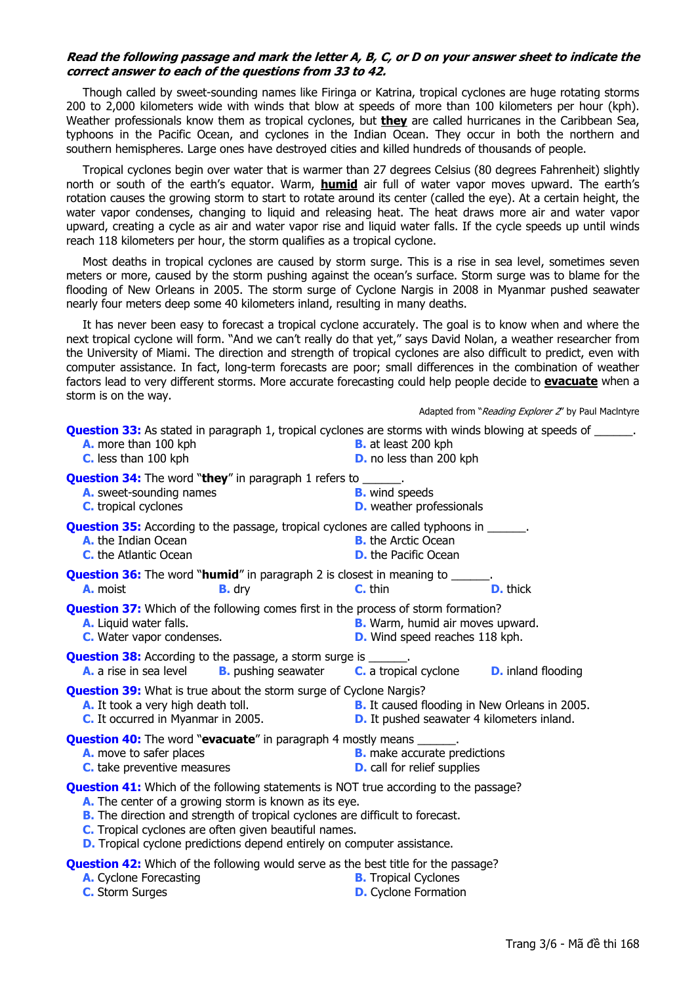### **Read the following passage and mark the letter A, B, C, or D on your answer sheet to indicate the correct answer to each of the questions from 33 to 42.**

Though called by sweet-sounding names like Firinga or Katrina, tropical cyclones are huge rotating storms 200 to 2,000 kilometers wide with winds that blow at speeds of more than 100 kilometers per hour (kph). Weather professionals know them as tropical cyclones, but **they** are called hurricanes in the Caribbean Sea, typhoons in the Pacific Ocean, and cyclones in the Indian Ocean. They occur in both the northern and southern hemispheres. Large ones have destroyed cities and killed hundreds of thousands of people.

Tropical cyclones begin over water that is warmer than 27 degrees Celsius (80 degrees Fahrenheit) slightly north or south of the earth's equator. Warm, **humid** air full of water vapor moves upward. The earth's rotation causes the growing storm to start to rotate around its center (called the eye). At a certain height, the water vapor condenses, changing to liquid and releasing heat. The heat draws more air and water vapor upward, creating a cycle as air and water vapor rise and liquid water falls. If the cycle speeds up until winds reach 118 kilometers per hour, the storm qualifies as a tropical cyclone.

Most deaths in tropical cyclones are caused by storm surge. This is a rise in sea level, sometimes seven meters or more, caused by the storm pushing against the ocean's surface. Storm surge was to blame for the flooding of New Orleans in 2005. The storm surge of Cyclone Nargis in 2008 in Myanmar pushed seawater nearly four meters deep some 40 kilometers inland, resulting in many deaths.

It has never been easy to forecast a tropical cyclone accurately. The goal is to know when and where the next tropical cyclone will form. "And we can't really do that yet," says David Nolan, a weather researcher from the University of Miami. The direction and strength of tropical cyclones are also difficult to predict, even with computer assistance. In fact, long-term forecasts are poor; small differences in the combination of weather factors lead to very different storms. More accurate forecasting could help people decide to **evacuate** when a storm is on the way.

Adapted from "Reading Explorer 2" by Paul MacIntyre

| A. more than 100 kph<br>C. less than 100 kph                                                                                                                                                                                                                                                                                                                                     | <b>Question 33:</b> As stated in paragraph 1, tropical cyclones are storms with winds blowing at speeds of ______.<br><b>B.</b> at least 200 kph<br><b>D.</b> no less than 200 kph |  |
|----------------------------------------------------------------------------------------------------------------------------------------------------------------------------------------------------------------------------------------------------------------------------------------------------------------------------------------------------------------------------------|------------------------------------------------------------------------------------------------------------------------------------------------------------------------------------|--|
| <b>Question 34:</b> The word "they" in paragraph 1 refers to ______.<br>A. sweet-sounding names<br><b>C.</b> tropical cyclones                                                                                                                                                                                                                                                   | <b>B.</b> wind speeds<br><b>D.</b> weather professionals                                                                                                                           |  |
| <b>Question 35:</b> According to the passage, tropical cyclones are called typhoons in ______.<br>A. the Indian Ocean<br><b>C.</b> the Atlantic Ocean                                                                                                                                                                                                                            | <b>B.</b> the Arctic Ocean<br><b>D.</b> the Pacific Ocean                                                                                                                          |  |
| <b>Question 36:</b> The word " <b>humid</b> " in paragraph 2 is closest in meaning to ______.<br><b>A.</b> moist<br><b>B.</b> dry                                                                                                                                                                                                                                                | <b>D.</b> thick<br>$C.$ thin                                                                                                                                                       |  |
| <b>Question 37:</b> Which of the following comes first in the process of storm formation?<br>A. Liquid water falls.<br>C. Water vapor condenses.                                                                                                                                                                                                                                 | <b>B.</b> Warm, humid air moves upward.<br><b>D.</b> Wind speed reaches 118 kph.                                                                                                   |  |
| <b>Question 38:</b> According to the passage, a storm surge is ______.<br><b>A.</b> a rise in sea level                                                                                                                                                                                                                                                                          | <b>B.</b> pushing seawater <b>C.</b> a tropical cyclone<br><b>D.</b> inland flooding                                                                                               |  |
| <b>Question 39:</b> What is true about the storm surge of Cyclone Nargis?<br>A. It took a very high death toll.<br>C. It occurred in Myanmar in 2005.                                                                                                                                                                                                                            | <b>B.</b> It caused flooding in New Orleans in 2005.<br><b>D.</b> It pushed seawater 4 kilometers inland.                                                                          |  |
| <b>Question 40:</b> The word " <b>evacuate</b> " in paragraph 4 mostly means ______.<br>A. move to safer places<br><b>C.</b> take preventive measures                                                                                                                                                                                                                            | <b>B.</b> make accurate predictions<br><b>D.</b> call for relief supplies                                                                                                          |  |
| <b>Question 41:</b> Which of the following statements is NOT true according to the passage?<br>A. The center of a growing storm is known as its eye.<br><b>B.</b> The direction and strength of tropical cyclones are difficult to forecast.<br>C. Tropical cyclones are often given beautiful names.<br>D. Tropical cyclone predictions depend entirely on computer assistance. |                                                                                                                                                                                    |  |
| <b>Question 42:</b> Which of the following would serve as the best title for the passage?<br>Curios Escocacting Curios D Transaction D D Transaction                                                                                                                                                                                                                             |                                                                                                                                                                                    |  |

- **A.** Cyclone Forecasting **B.** Tropical Cyclones
- **C.** Storm Surges **D. D.** Cyclone Formation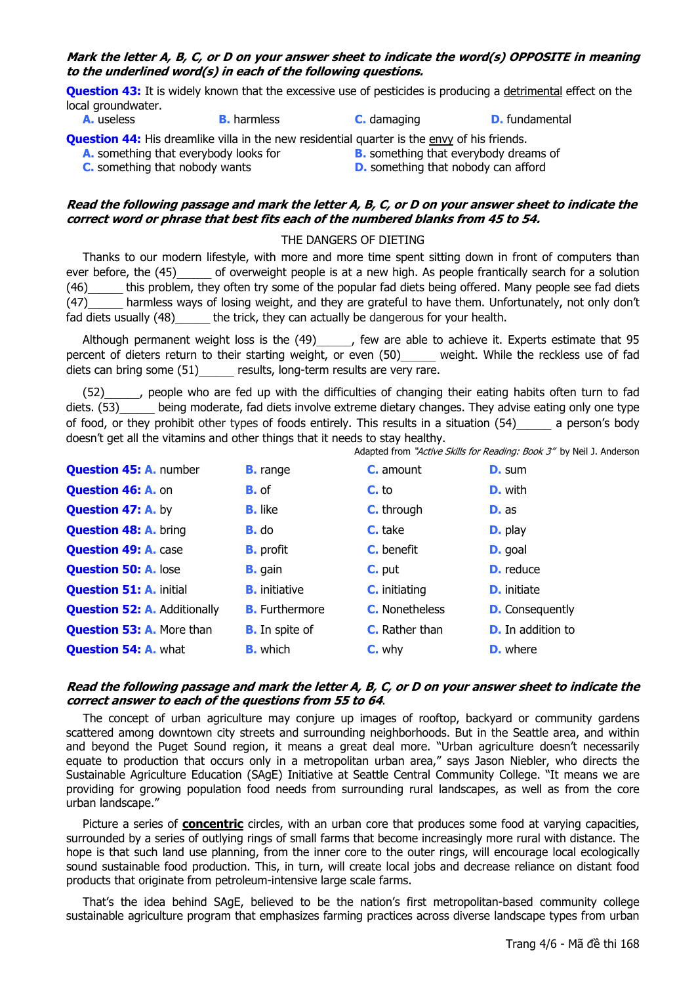## **Mark the letter A, B, C, or D on your answer sheet to indicate the word(s) OPPOSITE in meaning to the underlined word(s) in each of the following questions.**

**Question 43:** It is widely known that the excessive use of pesticides is producing a detrimental effect on the local groundwater.<br>**A.** useless

**A.** useless **B.** harmless **C.** damaging **D.** fundamental

**Question 44:** His dreamlike villa in the new residential quarter is the envy of his friends.

**A.** something that everybody looks for **B.** something that everybody dreams of

**C.** something that nobody wants **D.** something that nobody can afford

#### **Read the following passage and mark the letter A, B, C, or D on your answer sheet to indicate the correct word or phrase that best fits each of the numbered blanks from 45 to 54.**

### THE DANGERS OF DIETING

Thanks to our modern lifestyle, with more and more time spent sitting down in front of computers than ever before, the (45) of overweight people is at a new high. As people frantically search for a solution (46)\_\_\_\_\_\_ this problem, they often try some of the popular fad diets being offered. Many people see fad diets (47)\_\_\_\_\_\_ harmless ways of losing weight, and they are grateful to have them. Unfortunately, not only don't fad diets usually (48) the trick, they can actually be dangerous for your health.

Although permanent weight loss is the (49)\_\_\_\_\_\_, few are able to achieve it. Experts estimate that 95 percent of dieters return to their starting weight, or even (50) weight. While the reckless use of fad diets can bring some (51) entitled results, long-term results are very rare.

(52)\_\_\_\_\_\_, people who are fed up with the difficulties of changing their eating habits often turn to fad diets. (53) being moderate, fad diets involve extreme dietary changes. They advise eating only one type of food, or they prohibit other types of foods entirely. This results in a situation (54) a person's body doesn't get all the vitamins and other things that it needs to stay healthy.

Adapted from "Active Skills for Reading: Book 3" by Neil J. Anderson

| <b>Question 45: A. number</b>       | <b>B.</b> range       | <b>C.</b> amount      | <b>D.</b> sum            |
|-------------------------------------|-----------------------|-----------------------|--------------------------|
| <b>Question 46: A. on</b>           | <b>B.</b> of          | $Cr$ to               | <b>D.</b> with           |
| <b>Question 47: A. by</b>           | <b>B.</b> like        | <b>C.</b> through     | <b>D.</b> as             |
| <b>Question 48: A. bring</b>        | <b>B.</b> do          | C. take               | <b>D.</b> play           |
| <b>Question 49: A. case</b>         | <b>B.</b> profit      | C. benefit            | <b>D.</b> goal           |
| <b>Question 50: A. lose</b>         | <b>B.</b> gain        | $C.$ put              | <b>D.</b> reduce         |
| <b>Question 51: A. initial</b>      | <b>B.</b> initiative  | <b>C.</b> initiating  | <b>D.</b> initiate       |
| <b>Question 52: A. Additionally</b> | <b>B.</b> Furthermore | <b>C.</b> Nonetheless | <b>D.</b> Consequently   |
| <b>Question 53: A. More than</b>    | <b>B.</b> In spite of | <b>C.</b> Rather than | <b>D.</b> In addition to |
| <b>Question 54: A. what</b>         | <b>B.</b> which       | C. why                | <b>D.</b> where          |

### **Read the following passage and mark the letter A, B, C, or D on your answer sheet to indicate the correct answer to each of the questions from 55 to 64**.

The concept of urban agriculture may conjure up images of rooftop, backyard or community gardens scattered among downtown city streets and surrounding neighborhoods. But in the Seattle area, and within and beyond the Puget Sound region, it means a great deal more. "Urban agriculture doesn't necessarily equate to production that occurs only in a metropolitan urban area," says Jason Niebler, who directs the Sustainable Agriculture Education (SAgE) Initiative at Seattle Central Community College. "It means we are providing for growing population food needs from surrounding rural landscapes, as well as from the core urban landscape."

Picture a series of **concentric** circles, with an urban core that produces some food at varying capacities, surrounded by a series of outlying rings of small farms that become increasingly more rural with distance. The hope is that such land use planning, from the inner core to the outer rings, will encourage local ecologically sound sustainable food production. This, in turn, will create local jobs and decrease reliance on distant food products that originate from petroleum-intensive large scale farms.

That's the idea behind SAgE, believed to be the nation's first metropolitan-based community college sustainable agriculture program that emphasizes farming practices across diverse landscape types from urban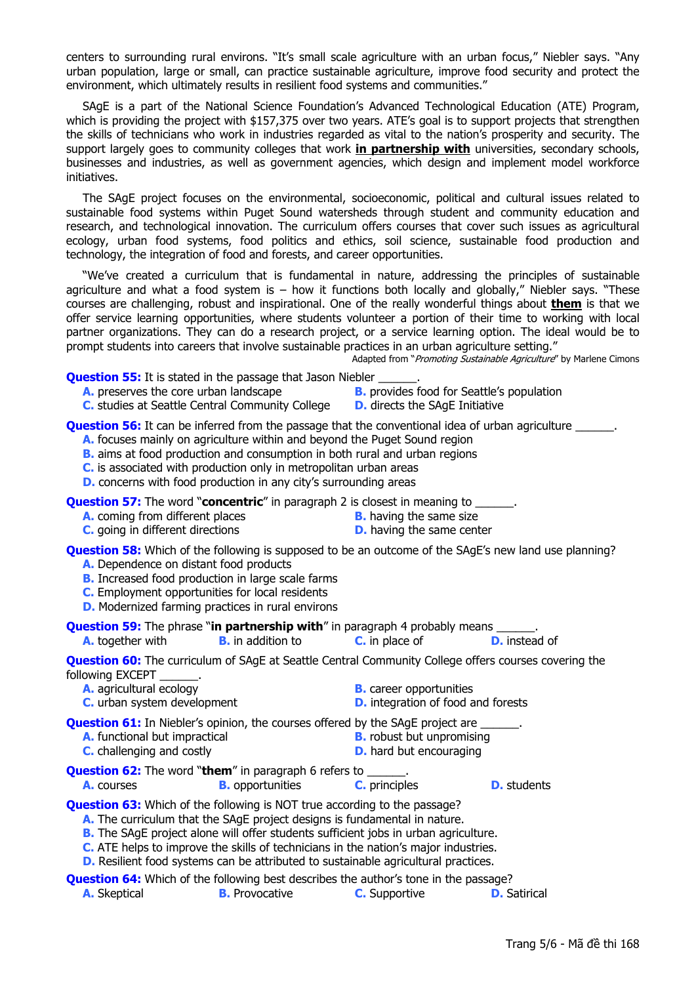centers to surrounding rural environs. "It's small scale agriculture with an urban focus," Niebler says. "Any urban population, large or small, can practice sustainable agriculture, improve food security and protect the environment, which ultimately results in resilient food systems and communities."

SAgE is a part of the National Science Foundation's Advanced Technological Education (ATE) Program, which is providing the project with \$157,375 over two years. ATE's goal is to support projects that strengthen the skills of technicians who work in industries regarded as vital to the nation's prosperity and security. The support largely goes to community colleges that work **in partnership with** universities, secondary schools, businesses and industries, as well as government agencies, which design and implement model workforce initiatives.

The SAgE project focuses on the environmental, socioeconomic, political and cultural issues related to sustainable food systems within Puget Sound watersheds through student and community education and research, and technological innovation. The curriculum offers courses that cover such issues as agricultural ecology, urban food systems, food politics and ethics, soil science, sustainable food production and technology, the integration of food and forests, and career opportunities.

"We've created a curriculum that is fundamental in nature, addressing the principles of sustainable agriculture and what a food system is – how it functions both locally and globally," Niebler says. "These courses are challenging, robust and inspirational. One of the really wonderful things about **them** is that we offer service learning opportunities, where students volunteer a portion of their time to working with local partner organizations. They can do a research project, or a service learning option. The ideal would be to prompt students into careers that involve sustainable practices in an urban agriculture setting."

Adapted from "Promoting Sustainable Agriculture" by Marlene Cimons

**Question 55:** It is stated in the passage that Jason Niebler

- **A.** preserves the core urban landscape **B.** provides food for Seattle's population
- **C.** studies at Seattle Central Community College **D.** directs the SAgE Initiative
- -

**Question 56:** It can be inferred from the passage that the conventional idea of urban agriculture  $\blacksquare$ .

- **A.** focuses mainly on agriculture within and beyond the Puget Sound region
- **B.** aims at food production and consumption in both rural and urban regions
- **C.** is associated with production only in metropolitan urban areas
- **D.** concerns with food production in any city's surrounding areas

**Question 57:** The word "**concentric**" in paragraph 2 is closest in meaning to \_

- **A.** coming from different places **B.** having the same size
	-
- **C.** going in different directions **D.** having the same center
	-

**Question 58:** Which of the following is supposed to be an outcome of the SAgE's new land use planning?

- **A.** Dependence on distant food products
- **B.** Increased food production in large scale farms
- **C.** Employment opportunities for local residents
- **D.** Modernized farming practices in rural environs

**Question 59:** The phrase "**in partnership with**" in paragraph 4 probably means

**A.** together with **B.** in addition to **C.** in place of **D.** instead of

**Question 60:** The curriculum of SAgE at Seattle Central Community College offers courses covering the following EXCEPT

- **A.** agricultural ecology **B.** career opportunities
- **C.** urban system development **D.** integration of food and forests

**Question 61:** In Niebler's opinion, the courses offered by the SAgE project are

- **A.** functional but impractical **B.** robust but unpromising **C.** challenging and costly **D.** hard but encouraging
- **Question 62:** The word "**them**" in paragraph 6 refers to \_\_\_\_\_\_.

**A.** courses **B.** opportunities **C.** principles **D.** students

**Question 63:** Which of the following is NOT true according to the passage?

- **A.** The curriculum that the SAgE project designs is fundamental in nature.
- **B.** The SAgE project alone will offer students sufficient jobs in urban agriculture.
- **C.** ATE helps to improve the skills of technicians in the nation's major industries.
- **D.** Resilient food systems can be attributed to sustainable agricultural practices.
- **Question 64:** Which of the following best describes the author's tone in the passage? **A.** Skeptical **B.** Provocative **C.** Supportive **D.** Satirical